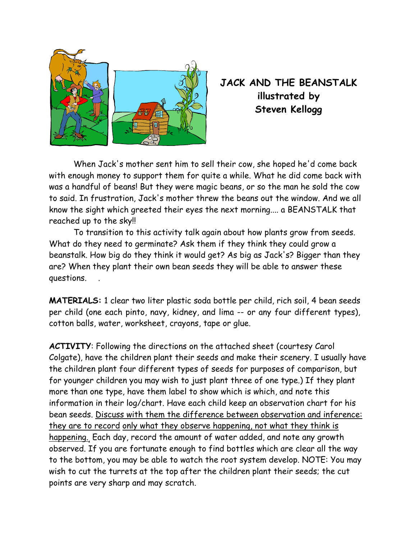

**JACK AND THE BEANSTALK illustrated by Steven Kellogg** 

 When Jack's mother sent him to sell their cow, she hoped he'd come back with enough money to support them for quite a while. What he did come back with was a handful of beans! But they were magic beans, or so the man he sold the cow to said. In frustration, Jack's mother threw the beans out the window. And we all know the sight which greeted their eyes the next morning.... a BEANSTALK that reached up to the sky!!

 To transition to this activity talk again about how plants grow from seeds. What do they need to germinate? Ask them if they think they could grow a beanstalk. How big do they think it would get? As big as Jack's? Bigger than they are? When they plant their own bean seeds they will be able to answer these questions. .

**MATERIALS:** 1 clear two liter plastic soda bottle per child, rich soil, 4 bean seeds per child (one each pinto, navy, kidney, and lima -- or any four different types), cotton balls, water, worksheet, crayons, tape or glue.

**ACTIVITY**: Following the directions on the attached sheet (courtesy Carol Colgate), have the children plant their seeds and make their scenery. I usually have the children plant four different types of seeds for purposes of comparison, but for younger children you may wish to just plant three of one type.) If they plant more than one type, have them label to show which is which, and note this information in their log/chart. Have each child keep an observation chart for his bean seeds. Discuss with them the difference between observation and inference: they are to record only what they observe happening, not what they think is happening., Each day, record the amount of water added, and note any growth observed. If you are fortunate enough to find bottles which are clear all the way to the bottom, you may be able to watch the root system develop. NOTE: You may wish to cut the turrets at the top after the children plant their seeds; the cut points are very sharp and may scratch.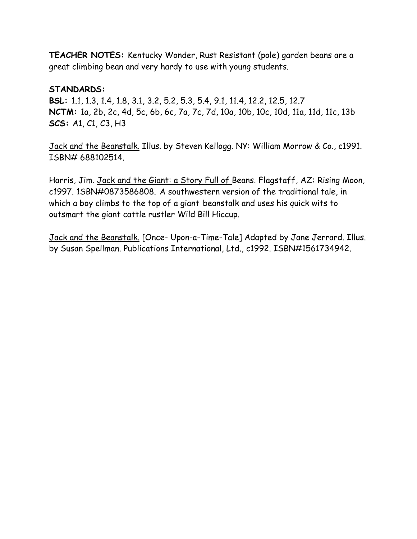**TEACHER NOTES:** Kentucky Wonder, Rust Resistant (pole) garden beans are a great climbing bean and very hardy to use with young students.

## **STANDARDS:**

**BSL:** 1.1, 1.3, 1.4, 1.8, 3.1, 3.2, 5.2, 5.3, 5.4, 9.1, 11.4, 12.2, 12.5, 12.7 **NCTM:** 1a, 2b, 2c, 4d, 5c, 6b, 6c, 7a, 7c, 7d, 10a, 10b, 10c, 10d, 11a, 11d, 11c, 13b **SCS:** A1, C1, C3, H3

Jack and the Beanstalk. Illus. by Steven Kellogg. NY: William Morrow & Co., c1991. ISBN# 688102514.

Harris, Jim. Jack and the Giant: a Story Full of Beans. Flagstaff, AZ: Rising Moon, c1997. 1SBN#0873586808. A southwestern version of the traditional tale, in which a boy climbs to the top of a giant beanstalk and uses his quick wits to outsmart the giant cattle rustler Wild Bill Hiccup.

Jack and the Beanstalk. [Once- Upon-a-Time-Tale] Adapted by Jane Jerrard. Illus. by Susan Spellman. Publications International, Ltd., c1992. ISBN#1561734942.